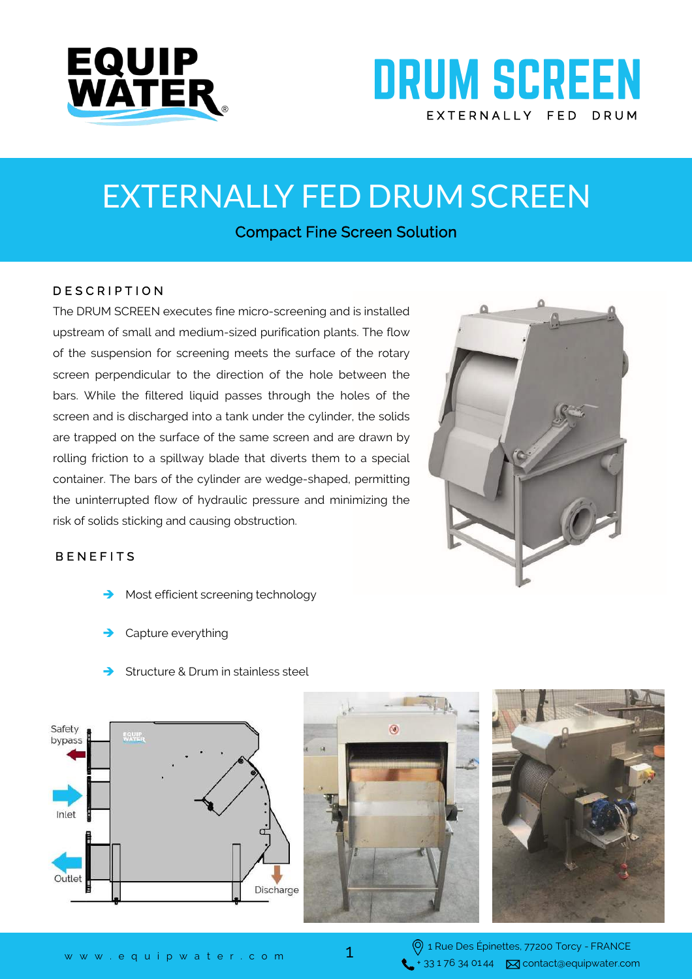

# **DRUM SCREEN** EXTERNALLY FED DRUM

# EXTERNALLY FED DRUM SCREEN

Compact Fine Screen Solution

#### D E S C R I P T I O N

The DRUM SCREEN executes fine micro-screening and is installed upstream of small and medium-sized purification plants. The flow of the suspension for screening meets the surface of the rotary screen perpendicular to the direction of the hole between the bars. While the filtered liquid passes through the holes of the screen and is discharged into a tank under the cylinder, the solids are trapped on the surface of the same screen and are drawn by rolling friction to a spillway blade that diverts them to a special container. The bars of the cylinder are wedge-shaped, permitting the uninterrupted flow of hydraulic pressure and minimizing the risk of solids sticking and causing obstruction.



### **BENEFITS**

- Most efficient screening technology
- Capture everything
- Structure & Drum in stainless steel







1 Rue Des Épinettes, 77200 Torcy - FRANCE  $\leftarrow$  + 33 1 76 34 01 44  $\boxtimes$  contact@equipwater.com